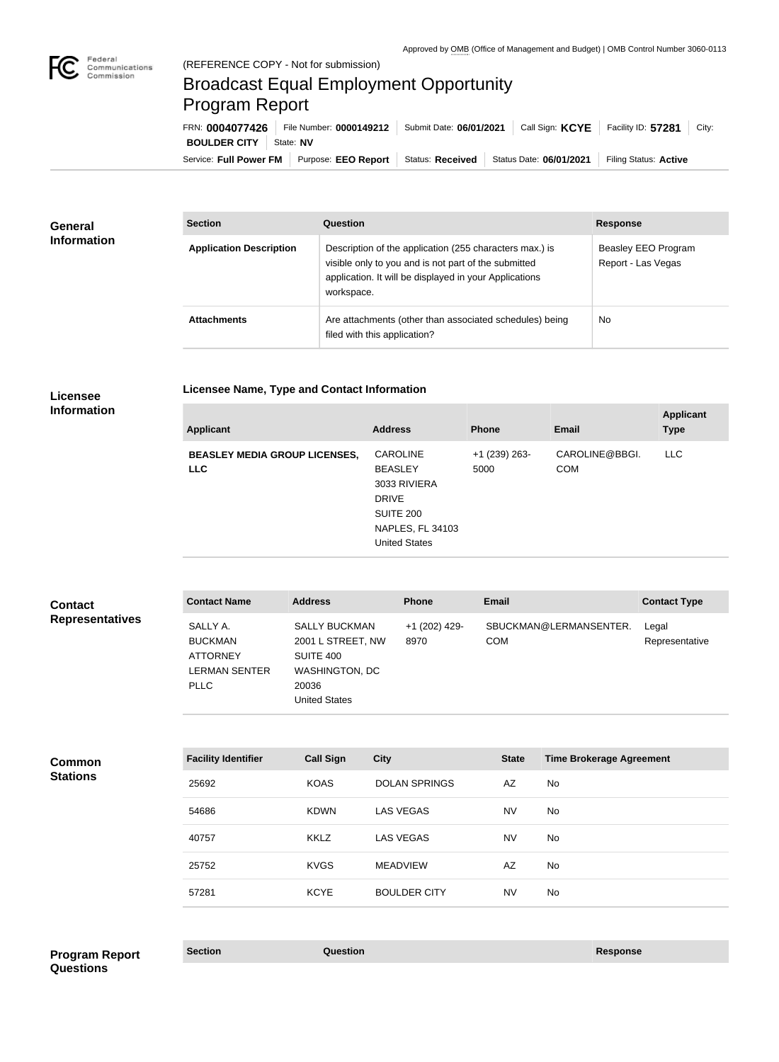

# Broadcast Equal Employment Opportunity Program Report

**Licensee Name, Type and Contact Information**

Service: Full Power FM | Purpose: EEO Report | Status: Received | Status Date: 06/01/2021 | Filing Status: Active **BOULDER CITY** | State: NV FRN: **0004077426** File Number: **0000149212** Submit Date: **06/01/2021** Call Sign: **KCYE** Facility ID: **57281** City:

| General<br><b>Information</b> | <b>Section</b>                 | Question                                                                                                                                                                                | <b>Response</b>                           |
|-------------------------------|--------------------------------|-----------------------------------------------------------------------------------------------------------------------------------------------------------------------------------------|-------------------------------------------|
|                               | <b>Application Description</b> | Description of the application (255 characters max.) is<br>visible only to you and is not part of the submitted<br>application. It will be displayed in your Applications<br>workspace. | Beasley EEO Program<br>Report - Las Vegas |
|                               | <b>Attachments</b>             | Are attachments (other than associated schedules) being<br>filed with this application?                                                                                                 | No                                        |

#### **Licensee Information**

| <b>Applicant</b>                                   | <b>Address</b>                                                                                                                    | <b>Phone</b>            | <b>Email</b>                 | <b>Applicant</b><br><b>Type</b> |
|----------------------------------------------------|-----------------------------------------------------------------------------------------------------------------------------------|-------------------------|------------------------------|---------------------------------|
| <b>BEASLEY MEDIA GROUP LICENSES,</b><br><b>LLC</b> | <b>CAROLINE</b><br><b>BEASLEY</b><br>3033 RIVIERA<br><b>DRIVE</b><br>SUITE 200<br><b>NAPLES, FL 34103</b><br><b>United States</b> | $+1$ (239) 263-<br>5000 | CAROLINE@BBGI.<br><b>COM</b> | <b>LLC</b>                      |

| <b>Contact</b>         | <b>Contact Name</b>                                                           | <b>Address</b>                                                                                                   | <b>Phone</b>          | Email                                | <b>Contact Type</b>     |
|------------------------|-------------------------------------------------------------------------------|------------------------------------------------------------------------------------------------------------------|-----------------------|--------------------------------------|-------------------------|
| <b>Representatives</b> | SALLY A.<br><b>BUCKMAN</b><br><b>ATTORNEY</b><br>LERMAN SENTER<br><b>PLLC</b> | <b>SALLY BUCKMAN</b><br>2001 L STREET, NW<br>SUITE 400<br><b>WASHINGTON, DC</b><br>20036<br><b>United States</b> | +1 (202) 429-<br>8970 | SBUCKMAN@LERMANSENTER.<br><b>COM</b> | Legal<br>Representative |

| <b>Stations</b><br><b>DOLAN SPRINGS</b><br>AZ<br><b>KOAS</b><br>25692<br>No |  |
|-----------------------------------------------------------------------------|--|
| <b>LAS VEGAS</b><br><b>NV</b><br>54686<br><b>KDWN</b><br>No                 |  |
| <b>LAS VEGAS</b><br><b>NV</b><br><b>KKLZ</b><br>No<br>40757                 |  |
| AZ<br><b>KVGS</b><br>No<br>25752<br><b>MEADVIEW</b>                         |  |
| <b>KCYE</b><br><b>BOULDER CITY</b><br><b>NV</b><br>No<br>57281              |  |

### **Section Question Response Program Report Questions**